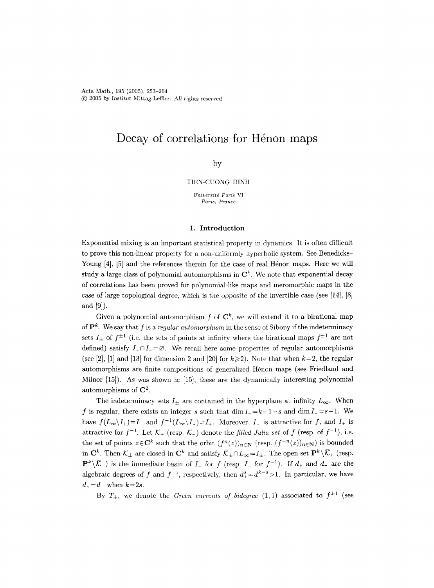Acta Math., 195 (2005), 253-264 @ 2005 by Institut Mittag-Leffter. All rights reserved

# Decay of correlations for Henon maps

# by

#### TIEN-CUONG DINH

*Universitd Paris VI Paris, France* 

#### 1. Introduction

Exponential mixing is an important statistical property in dynamics. It is often difficult to prove this non-linear property for a non-uniformly hyperbolic system. See Benedicks-Young [4], [5] and the references therein for the case of real Henon maps. Here we will study a large class of polynomial automorphisms in  $\mathbb{C}^k$ . We note that exponential decay of correlations has been proved for polynomial-like maps and meromorphic maps in the case of large topological degree, which is the opposite of the invertible case (see [14], [8J and [9]).

Given a polynomial automorphism f of  $\mathbb{C}^k$ , we will extend it to a birational map of  $\mathbf{P}^k$ . We say that f is a *regular automorphism* in the sense of Sibony if the indeterminacy sets  $I_{\pm}$  of  $f^{\pm 1}$  (i.e. the sets of points at infinity where the birational maps  $f^{\pm 1}$  are not defined) satisfy  $I_+\cap I_-=\varnothing$ . We recall here some properties of regular automorphisms (see [2], [1] and [13] for dimension 2 and [20] for  $k \ge 2$ ). Note that when  $k=2$ , the regular automorphisms are finite compositions of generalized Hénon maps (see Friedland and Milnor [15]). As was shown in [15], these are the dynamically interesting polynomial automorphisms of  $\mathbb{C}^2$ .

The indeterminacy sets  $I_{\pm}$  are contained in the hyperplane at infinity  $L_{\infty}$ . When f is regular, there exists an integer s such that  $\dim I_+ = k-1-s$  and  $\dim I_- = s-1$ . We have  $f(L_\infty\setminus I_+) = I_-$  and  $f^{-1}(L_\infty\setminus I_-) = I_+$ . Moreover,  $I_-$  is attractive for f, and  $I_+$  is attractive for  $f^{-1}$ . Let  $\mathcal{K}_+$  (resp.  $\mathcal{K}_-$ ) denote the *filled Julia set* of f (resp. of  $f^{-1}$ ), i.e. the set of points  $z \in \mathbb{C}^k$  such that the orbit  $(f^n(z))_{n \in \mathbb{N}}$  (resp.  $(f^{-n}(z))_{n \in \mathbb{N}}$ ) is bounded in  $\mathbb{C}^k$ . Then  $\mathcal{K}_{\pm}$  are closed in  $\mathbb{C}^k$  and satisfy  $\bar{\mathcal{K}}_{\pm} \cap L_{\infty} = I_{\pm}$ . The open set  $\mathbb{P}^k \setminus \bar{\mathcal{K}}_{+}$  (resp.  $\mathbf{P}^k\setminus\overline{\mathcal{K}}$ ) is the immediate basin of  $I_-$  for f (resp.  $I_+$  for  $f^{-1}$ ). If  $d_+$  and  $d_-$  are the algebraic degrees of f and  $f^{-1}$ , respectively, then  $d_{+}^{s} = d_{-}^{k-s} > 1$ . In particular, we have  $d_{+} = d_{-}$  when  $k=2s$ .

By  $T_{\pm}$ , we denote the *Green currents of bidegree* (1,1) associated to  $f^{\pm 1}$  (see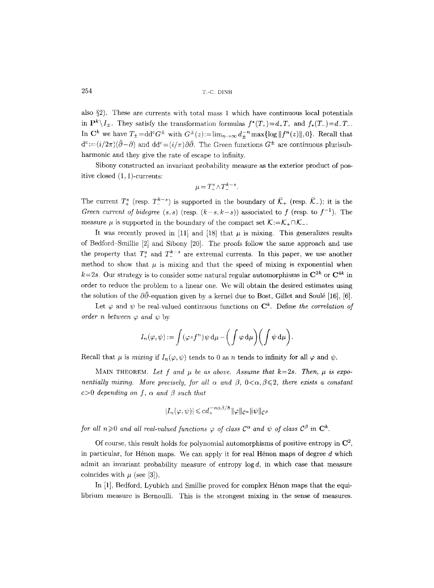also  $\S$ 2). These are currents with total mass 1 which have continuous local potentials in  $P^k \setminus I_{\pm}$ . They satisfy the transformation formulas  $f^*(T_+) = d_+T_+$  and  $f_*(T_-) = d_-T_-$ . In  $\mathbf{C}^k$  we have  $T_{\pm} = \mathrm{dd}^c G^{\pm}$  with  $G^{\pm}(z) := \lim_{n \to \infty} d_{+}^{-n} \max \{ \log ||f^n(z)||, 0 \}$ . Recall that  $d^{c} := (i/2\pi)(\bar{\partial} - \partial)$  and  $dd^{c} = (i/\pi) \partial \bar{\partial}$ . The Green functions  $G^{\pm}$  are continuous plurisubharmonic and they give the rate of escape to infinity.

Sibony constructed an invariant probability measure as the exterior product of positive closed (1, 1)-currents:

$$
\mu = T^s_+ \wedge T^{k-s}_-.
$$

The current  $T^s_+$  (resp.  $T^{k-s}_-$ ) is supported in the boundary of  $\overline{\mathcal{K}}_+$  (resp.  $\overline{\mathcal{K}}_-$ ); it is the *Green current of bidegree* (s, s) (resp.  $(k-s, k-s)$ ) associated to f (resp. to  $f^{-1}$ ). The measure  $\mu$  is supported in the boundary of the compact set  $\mathcal{K}:=\mathcal{K}_+\cap\mathcal{K}_-$ .

It was recently proved in [11] and [18] that  $\mu$  is mixing. This generalizes results of Bedford Smillie [2] and Sibony [20]. The proofs follow the same approach and use the property that  $T_{+}^{s}$  and  $T_{-}^{k-s}$  are extremal currents. In this paper, we use another method to show that  $\mu$  is mixing and that the speed of mixing is exponential when  $k=2s$ . Our strategy is to consider some natural regular automorphisms in  $\mathbb{C}^{2k}$  or  $\mathbb{C}^{4k}$  in order to reduce the problem to a linear one. We will obtain the desired estimates using the solution of the  $\partial\bar{\partial}$ -equation given by a kernel due to Bost, Gillet and Soulé [16], [6].

Let  $\varphi$  and  $\psi$  be real-valued continuous functions on  $\mathbb{C}^k$ . Define *the correlation of order n between*  $\varphi$  *and*  $\psi$  by

$$
I_n(\varphi,\psi):=\int (\varphi\circ f^n)\,\psi\,\mathrm{d}\mu-\bigg(\int \varphi\,\mathrm{d}\mu\bigg)\bigg(\int \psi\,\mathrm{d}\mu\bigg).
$$

Recall that  $\mu$  is *mixing* if  $I_n(\varphi, \psi)$  tends to 0 as n tends to infinity for all  $\varphi$  and  $\psi$ .

MAIN THEOREM. Let f and  $\mu$  be as above. Assume that  $k=2s$ . Then,  $\mu$  is expo*nentially mixing. More precisely, for all*  $\alpha$  *and*  $\beta$ *,*  $0 < \alpha, \beta \leq 2$ *, there exists a constant*  $c>0$  depending on f,  $\alpha$  and  $\beta$  such that

$$
|I_n(\varphi, \psi)| \leqslant c d_+^{-n\alpha\beta/8} \|\varphi\|_{\mathcal{C}^{\alpha}} \|\psi\|_{\mathcal{C}^{\beta}}
$$

*for all n* $\geq$ 0 *and all real-valued functions*  $\varphi$  *of class*  $C^{\alpha}$  *and*  $\psi$  *of class*  $C^{\beta}$  *in*  $C^k$ .

Of course, this result holds for polynomial automorphisms of positive entropy in  $\mathbb{C}^2$ , in particular, for Hénon maps. We can apply it for real Hénon maps of degree  $d$  which admit an invariant probability measure of entropy  $log d$ , in which case that measure coincides with  $\mu$  (see [3]).

In  $[1]$ , Bedford, Lyubich and Smillie proved for complex Henon maps that the equilibrium measure is Bernoulli. This is the strongest mixing in the sense of measures.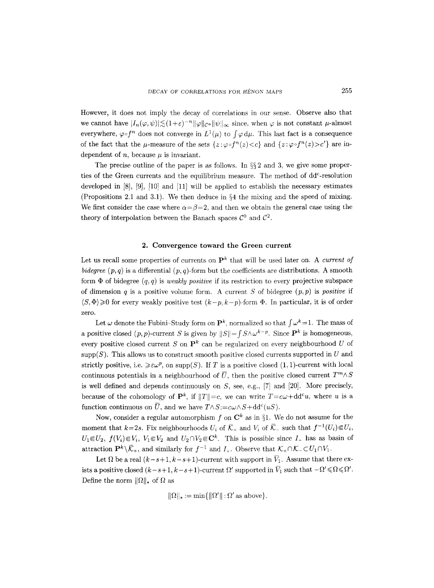However, it does not imply the decay of correlations in our sense. Observe also that we cannot have  $|I_n(\varphi, \psi)| \lesssim (1+\varepsilon)^{-n} \|\varphi\|_{C^\alpha} \|\psi\|_{\infty}$  since, when  $\varphi$  is not constant  $\mu$ -almost everywhere,  $\varphi \circ f^n$  does not converge in  $L^1(\mu)$  to  $\int \varphi \, d\mu$ . This last fact is a consequence of the fact that the  $\mu$ -measure of the sets  $\{z:\varphi \circ f^{n}(z) < c\}$  and  $\{z:\varphi \circ f^{n}(z) > c'\}$  are independent of n, because  $\mu$  is invariant.

The precise outline of the paper is as follows. In  $\S$ 2 and 3, we give some properties of the Green currents and the equilibrium measure. The method of dd<sup>c</sup>-resolution developed in  $[8]$ ,  $[9]$ ,  $[10]$  and  $[11]$  will be applied to establish the necessary estimates (Propositions 2.1 and 3.1). We then deduce in  $\S 4$  the mixing and the speed of mixing. We first consider the case where  $\alpha = \beta = 2$ , and then we obtain the general case using the theory of interpolation between the Banach spaces  $\mathcal{C}^0$  and  $\mathcal{C}^2$ .

### 2. Convergence toward the Green current

Let us recall some properties of currents on  $\mathbf{P}^k$  that will be used later on. A *current of bidegree*  $(p, q)$  is a differential  $(p, q)$ -form but the coefficients are distributions. A smooth form  $\Phi$  of bidegree  $(q, q)$  is *weakly positive* if its restriction to every projective subspace of dimension q is a positive volume form. A current S of bidegree  $(p, p)$  is *positive* if  $\langle S, \Phi \rangle \geq 0$  for every weakly positive test  $(k-p, k-p)$ -form  $\Phi$ . In particular, it is of order zero.

Let  $\omega$  denote the Fubini-Study form on  $\mathbf{P}^k$ , normalized so that  $\int \omega^k=1$ . The mass of a positive closed  $(p, p)$ -current S is given by  $||S|| = \int S \wedge \omega^{k-p}$ . Since  $\mathbf{P}^k$  is homogeneous, every positive closed current S on  $\mathbf{P}^k$  can be regularized on every neighbourhood U of  $\text{supp}(S)$ . This allows us to construct smooth positive closed currents supported in U and strictly positive, i.e.  $\geq \varepsilon \omega^p$ , on supp(S). If T is a positive closed (1, 1)-current with local continuous potentials in a neighbourhood of  $\overline{U}$ , then the positive closed current  $T^m \wedge S$ is well defined and depends continuously on  $S$ , see, e.g., [7] and [20]. More precisely, because of the cohomology of  $\mathbf{P}^k$ , if  $||T||=c$ , we can write  $T=c\omega+\mathrm{d}d^cu$ , where u is a function continuous on  $\overline{U}$ , and we have  $T \wedge S := c \omega \wedge S + \mathrm{dd}^c(uS)$ .

Now, consider a regular automorphism f on  $\mathbb{C}^k$  as in §1. We do not assume for the moment that  $k=2s$ . Fix neighbourhoods  $U_i$  of  $\overline{\mathcal{K}}_+$  and  $V_i$  of  $\overline{\mathcal{K}}_-$  such that  $f^{-1}(U_i) \in U_i$ ,  $U_1 \in U_2$ ,  $f(V_i) \in V_i$ ,  $V_1 \in V_2$  and  $U_2 \cap V_2 \in \mathbb{C}^k$ . This is possible since I\_ has as basin of attraction  $\mathbf{P}^k \setminus \overline{\mathcal{K}}_+$ , and similarly for  $f^{-1}$  and  $I_+$ . Observe that  $\mathcal{K}_+ \cap \mathcal{K}_- \subset U_1 \cap V_1$ .

Let  $\Omega$  be a real  $(k-s+1, k-s+1)$ -current with support in  $\overline{V}_1$ . Assume that there exists a positive closed  $(k - s + 1, k - s + 1)$ -current  $\Omega'$  supported in  $\overline{V}_1$  such that  $-\Omega' \le \Omega \le \Omega'$ . Define the norm  $\|\Omega\|_{*}$  of  $\Omega$  as

$$
\|\Omega\|_* := \min\{\|\Omega'\| : \Omega' \text{ as above}\},\
$$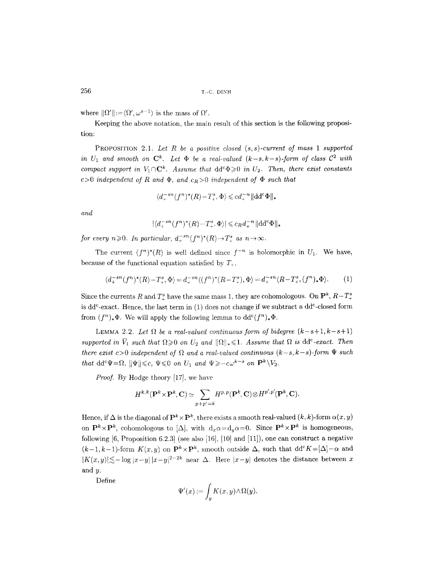where  $\|\Omega'\|:=\langle\Omega',\omega^{s-1}\rangle$  is the mass of  $\Omega'$ .

Keeping the above notation, the main result of this section is the following proposition:

PROPOSITION 2.1. *Let R be a positive closed (s,s)-current of mass 1 supported*  in  $U_1$  and smooth on  $\mathbb{C}^k$ . Let  $\Phi$  be a real-valued  $(k-s, k-s)$ -form of class  $\mathcal{C}^2$  with *compact support in*  $V_1 \cap \mathbb{C}^k$ . Assume that  $\text{dd}^c \Phi \geq 0$  in  $U_2$ . Then, there exist constants  $c>0$  *independent of R and*  $\Phi$ *, and*  $c_R>0$  *independent of*  $\Phi$  *such that* 

$$
\langle d_+^{-sn}(f^n)^*(R) - T_+^s, \Phi \rangle \leqslant c d_+^{-n} ||dd^c \Phi||_*
$$

*and* 

 $|\langle d^{-sn}(f^n)^*(R) - T^s, \Phi \rangle| \leqslant c_R d_{+}^{-n} ||dd^c \Phi||_*$ 

*for every n* $\geq 0$ *. In particular,*  $d_{+}^{-sn}(f^{n})^{*}(R) \rightarrow T_{+}^{s}$  *as n* $\rightarrow \infty$ *.* 

The current  $(f^{n})^*(R)$  is well defined since  $f^{-n}$  is holomorphic in  $U_1$ . We have, because of the functional equation satisfied by  $T_+$ ,

$$
\langle d_+^{-sn}(f^n)^*(R) - T_+^s, \Phi \rangle = d_+^{-sn} \langle (f^n)^*(R - T_+^s), \Phi \rangle = d_+^{-sn} \langle R - T_+^s, (f^n)_* \Phi \rangle. \tag{1}
$$

Since the currents R and  $T_{+}^{s}$  have the same mass 1, they are cohomologous. On  $\mathbf{P}^{k}$ ,  $R-T_{+}^{s}$ is dd<sup>c</sup>-exact. Hence, the last term in  $(1)$  does not change if we subtract a dd<sup>c</sup>-closed form from  $(f^n)_*\Phi$ . We will apply the following lemma to  $dd^c(f^n)_*\Phi$ .

LEMMA 2.2. Let  $\Omega$  be a real-valued continuous form of bidegree  $(k-s+1, k-s+1)$ supported in  $\overline{V}_1$  such that  $\Omega \geq 0$  on  $U_2$  and  $\|\Omega\|_* \leq 1$ . Assume that  $\Omega$  is dd<sup>c</sup>-exact. Then *there exist c*>0 *independent of*  $\Omega$  *and a real-valued continuous (k-s, k-s)-form*  $\Psi$  such *that*  $dd^c\Psi = \Omega$ ,  $\|\Psi\| \leqslant c$ ,  $\Psi \leqslant 0$  on  $U_1$  and  $\Psi \geqslant -c\omega^{k-s}$  on  $\mathbf{P}^k \setminus V_2$ .

*Proof.* By Hodge theory [17], we have

$$
H^{k,k}({\bf P}^k\times{\bf P}^k,{\bf C})\simeq\sum_{p+p'=k}H^{p,p}({\bf P}^k,{\bf C})\otimes H^{p',p'}({\bf P}^k,{\bf C}).
$$

Hence, if  $\Delta$  is the diagonal of  $\mathbf{P}^k \times \mathbf{P}^k$ , there exists a smooth real-valued  $(k, k)$ -form  $\alpha(x, y)$ on  $\mathbf{P}^k \times \mathbf{P}^k$ , cohomologous to  $[\Delta]$ , with  $d_x\alpha=d_y\alpha=0$ . Since  $\mathbf{P}^k \times \mathbf{P}^k$  is homogeneous, following  $[6,$  Proposition 6.2.3] (see also  $[16]$ ,  $[10]$  and  $[11]$ ), one can construct a negative  $(k-1,k-1)$ -form  $K(x,y)$  on  $\mathbf{P}^k \times \mathbf{P}^k$ , smooth outside  $\Delta$ , such that  $dd^c K = [\Delta] - \alpha$  and  $|K(x,y)| \lesssim -\log |x-y| |x-y|^{2-2k}$  near  $\Delta$ . Here  $|x-y|$  denotes the distance between x and y.

Define

$$
\Psi'(x):=\int_y K(x,y)\wedge \Omega(y).
$$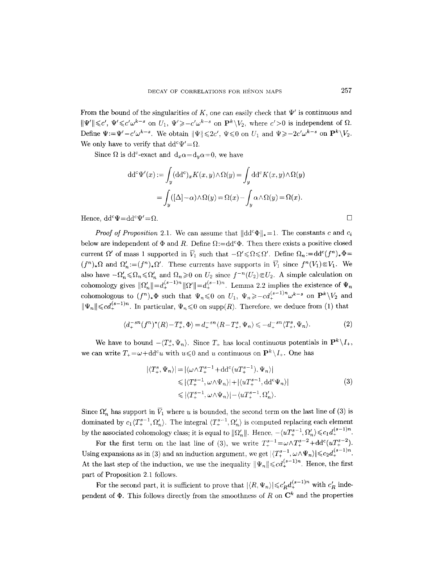From the bound of the singularities of K, one can easily check that  $\Psi'$  is continuous and  $\|\Psi'\|\leqslant c',~\Psi'\leqslant c'\omega^{k-s}$  on  $U_1,~\Psi'\geqslant -c'\omega^{k-s}$  on  $\mathbf{P}^k\setminus V_2$ , where  $c'>0$  is independent of  $\Omega$ . Define  $\Psi:=\Psi'-c'\omega^{k-s}$ . We obtain  $\|\Psi\|\leqslant 2c'$ ,  $\Psi\leqslant 0$  on  $U_1$  and  $\Psi\geqslant -2c'\omega^{k-s}$  on  $\mathbf{P}^k\backslash V_2$ . We only have to verify that  $dd^c\Psi'=\Omega$ .

Since  $\Omega$  is dd<sup>c</sup>-exact and  $d_x\alpha=d_y\alpha=0$ , we have

$$
dd^{c}\Psi'(x) := \int_{y} (dd^{c})_{x} K(x, y) \wedge \Omega(y) = \int_{y} dd^{c} K(x, y) \wedge \Omega(y)
$$

$$
= \int_{y} ([\Delta] - \alpha) \wedge \Omega(y) = \Omega(x) - \int_{y} \alpha \wedge \Omega(y) = \Omega(x).
$$
Hence, 
$$
dd^{c}\Psi = dd^{c}\Psi' = \Omega.
$$

*Proof of Proposition 2.1.* We can assume that  $\|\text{dd}^c\Phi\|_{*}=1$ . The constants c and  $c_i$ below are independent of  $\Phi$  and R. Define  $\Omega:=dd^c\Phi$ . Then there exists a positive closed current  $\Omega'$  of mass 1 supported in  $\overline{V}_1$  such that  $-\Omega' \leq \Omega \leq \Omega'$ . Define  $\Omega_n := dd^c(f^n)_* \Phi =$  $(f^n)_*\Omega$  and  $\Omega'_n := (f^n)_*\Omega'$ . These currents have supports in  $\overline{V}_1$  since  $f^n(V_1) \in V_1$ . We also have  $-\Omega'_n \leq \Omega_n \leq \Omega'_n$  and  $\Omega_n \geq 0$  on  $U_2$  since  $f^{-n}(U_2) \in U_2$ . A simple calculation on cohomology gives  $\|\Omega'_n\|=d_+^{(s-1)n}\|\Omega'\|=d_+^{(s-1)n}$ . Lemma 2.2 implies the existence of  $\Psi_n$ cohomologous to  $(f^n)_* \Phi$  such that  $\Psi_n \leq 0$  on  $U_1$ ,  $\Psi_n \geq -c d_+^{(s-1)n} \omega^{k-s}$  on  $\mathbf{P}^k \setminus V_2$  and  $\|\Psi_n\| \leqslant c d_+^{(s-1)n}$ . In particular,  $\Psi_n \leqslant 0$  on supp(R). Therefore, we deduce from (1) that

$$
\langle d_+^{-sn}(f^n)^*(R) - T_+^s, \Phi \rangle = d_+^{-sn} \langle R - T_+^s, \Psi_n \rangle \leqslant - d_+^{-sn} \langle T_+^s, \Psi_n \rangle. \tag{2}
$$

We have to bound  $-\langle T_{+}^{s}, \Psi_{n} \rangle$ . Since  $T_{+}$  has local continuous potentials in  $\mathbf{P}^{k}\backslash I_{+}$ , we can write  $T_+ = \omega + dd^c u$  with  $u \leq 0$  and u continuous on  $\mathbf{P}^k \setminus I_+$ . One has

$$
|\langle T_+^s, \Psi_n \rangle| = |\langle \omega \wedge T_+^{s-1} + dd^c(uT_+^{s-1}), \Psi_n \rangle|
$$
  
\n
$$
\leq |\langle T_+^{s-1}, \omega \wedge \Psi_n \rangle| + |\langle uT_+^{s-1}, dd^c\Psi_n \rangle|
$$
  
\n
$$
\leq |\langle T_+^{s-1}, \omega \wedge \Psi_n \rangle| - \langle uT_+^{s-1}, \Omega_n' \rangle.
$$
\n(3)

Since  $\Omega'_n$  has support in  $\overline{V}_1$  where u is bounded, the second term on the last line of (3) is dominated by  $c_1 \langle T_+^{s-1}, \Omega'_n \rangle$ . The integral  $\langle T_+^{s-1}, \Omega'_n \rangle$  is computed replacing each element by the associated cohomology class; it is equal to  $\|\Omega'_n\|$ . Hence,  $-\langle uT_+^{s-1}, \Omega'_n \rangle \leq c_1 d_+^{(s-1)n}$ .

For the first term on the last line of (3), we write  $T^{s-1}_{+} = \omega \wedge T^{s-2}_{+} + \text{dd}^c (u T^{s-2}_{+})$ . Using expansions as in (3) and an induction argument, we get  $|\langle T_{+}^{s-1}, \omega \wedge \Psi_n \rangle| \leq c_2 d_+^{(s-1)n}$ . At the last step of the induction, we use the inequality  $||\Psi_n|| \leqslant c d_+^{(s-1)n}$ . Hence, the first part of Proposition 2.1 follows.

For the second part, it is sufficient to prove that  $|\langle R, \Psi_n \rangle| \leq c'_R d_+^{(s-1)n}$  with  $c'_R$  independent of  $\Phi$ . This follows directly from the smoothness of R on  $\mathbb{C}^k$  and the properties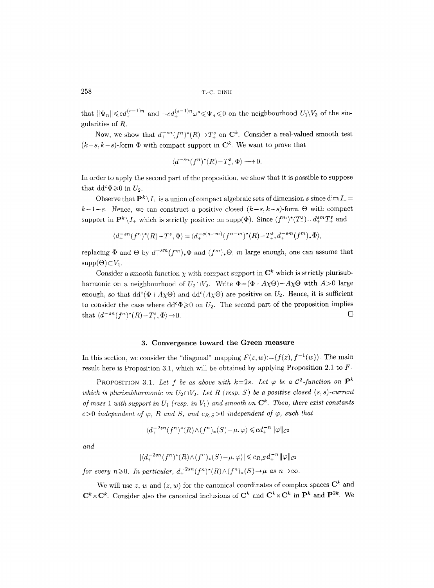that  $\|\Psi_n\| \leqslant c d_+^{(s-1)n}$  and  $-cd_+^{(s-1)n} \omega^s \leqslant \Psi_n \leqslant 0$  on the neighbourhood  $U_1\backslash V_2$  of the singularities of R.

Now, we show that  $d_+^{-sn}(f^n)^*(R) \to T^s_+$  on  $\mathbb{C}^k$ . Consider a real-valued smooth test  $(k-s, k-s)$ -form  $\Phi$  with compact support in  $\mathbb{C}^k$ . We want to prove that

$$
\langle d^{-sn}(f^n)^*(R) - T^s_{\tau}, \Phi \rangle \longrightarrow 0.
$$

In order to apply the second part of the proposition, we show that it is possible to suppose that  $dd^c\Phi \geqslant 0$  in  $U_2$ .

Observe that  $\mathbf{P}^k \setminus I_+$  is a union of compact algebraic sets of dimension s since dim  $I_+$  $k-1-s$ . Hence, we can construct a positive closed  $(k-s, k-s)$ -form  $\Theta$  with compact support in  $\mathbf{P}^k \setminus I_+$  which is strictly positive on supp( $\Phi$ ). Since  $(f^m)^*(T_+^s) = d_+^{sm}T_+^s$  and

$$
\langle d_+^{-sn}(f^n)^*(R) - T^s_+, \Phi \rangle = \langle d_+^{-s(n-m)}(f^{n-m})^*(R) - T^s_+, d_+^{-sm}(f^m)_* \Phi \rangle,
$$

replacing  $\Phi$  and  $\Theta$  by  $d_{+}^{-sm}(f^m)_*\Phi$  and  $(f^m)_*\Theta$ , m large enough, one can assume that  $supp(\Theta) \subset V_1$ .

Consider a smooth function  $\chi$  with compact support in  $\mathbb{C}^k$  which is strictly plurisubharmonic on a neighbourhood of  $U_2 \cap V_2$ . Write  $\Phi = (\Phi + A_X \Theta) - A_X \Theta$  with  $A > 0$  large enough, so that  $dd^c(\Phi + A\chi\Theta)$  and  $dd^c(A\chi\Theta)$  are positive on  $U_2$ . Hence, it is sufficient to consider the case where  $dd^c\Phi \geq 0$  on  $U_2$ . The second part of the proposition implies that  $\langle d^{-sn}(f^n)^*(R)-T^s_+,\Phi\rangle\to 0.$ 

### **3. Convergence toward the Green measure**

In this section, we consider the "diagonal" mapping  $F(z, w) := (f(z), f^{-1}(w))$ . The main result here is Proposition 3.1, which will be obtained by applying Proposition 2.1 to  $F$ .

PROPOSITION 3.1. Let f be as above with  $k=2s$ . Let  $\varphi$  be a  $\mathcal{C}^2$ -function on  $\mathbf{P}^k$ *which is plurisubharmonic on*  $U_2 \cap V_2$ . Let R (resp. S) be a positive closed  $(s, s)$ -current *of mass 1 with support in*  $U_1$  *(resp. in*  $V_1$ *) and smooth on*  $\mathbb{C}^k$ . Then, there exist constants c>0 *independent of*  $\varphi$ , R and S, and  $c_{R,S}>0$  *independent of*  $\varphi$ , such that

$$
\langle d_+^{-2sn}(f^n)^*(R)\wedge (f^n)_*(S) - \mu, \varphi \rangle \leqslant cd_+^{-n} \|\varphi\|_{\mathcal{C}^2}
$$

*and* 

$$
|\langle d_+^{-2sn}(f^n)^*(R)\wedge (f^n)_*(S)-\mu,\varphi\rangle|\leqslant c_{R,S}d_+^{-n}\|\varphi\|_{\mathcal{C}^2}
$$

*for every n* $\geq 0$ . In particular,  $d_+^{-2sn}(f^n)^*(R) \wedge (f^n)_*(S) \rightarrow \mu$  as  $n \rightarrow \infty$ .

We will use z, w and  $(z, w)$  for the canonical coordinates of complex spaces  $\mathbb{C}^k$  and  $\mathbf{C}^k \times \mathbf{C}^k$ . Consider also the canonical inclusions of  $\mathbf{C}^k$  and  $\mathbf{C}^k \times \mathbf{C}^k$  in  $\mathbf{P}^k$  and  $\mathbf{P}^{2k}$ . We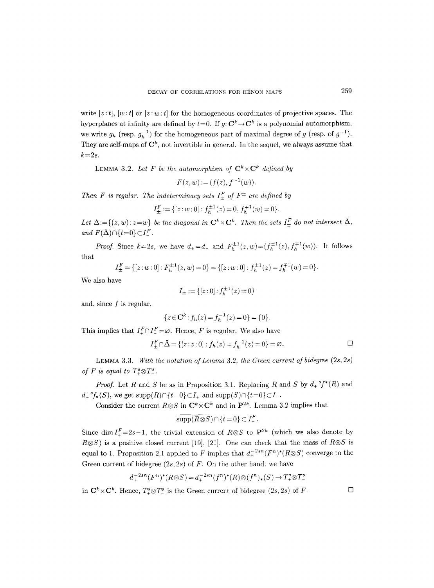write  $[z:t]$ ,  $[w:t]$  or  $[z:w:t]$  for the homogeneous coordinates of projective spaces. The hyperplanes at infinity are defined by  $t=0$ . If  $g: \mathbb{C}^k \to \mathbb{C}^k$  is a polynomial automorphism, we write  $g_h$  (resp.  $g_h^{-1}$ ) for the homogeneous part of maximal degree of g (resp. of  $g^{-1}$ ). They are self-maps of  $\mathbb{C}^k$ , not invertible in general. In the sequel, we always assume that  $k=2s$ .

LEMMA 3.2. Let F be the automorphism of  $\mathbb{C}^k \times \mathbb{C}^k$  defined by

$$
F(z, w) := (f(z), f^{-1}(w)).
$$

*Then F is regular. The indeterminacy sets*  $I_{\pm}^F$  of  $F^{\pm}$  are defined by

$$
I^F_{\pm}:=\{[z\,{:}\,w\,{:}\,0]:f_h^{\pm 1}(z)=0,\,f_h^{\mp 1}(w)=0\}.
$$

Let  $\Delta := \{(z,w): z=w\}$  *be the diagonal in*  $\mathbb{C}^k \times \mathbb{C}^k$ . Then the sets  $I_{\pm}^F$  do not intersect  $\bar{\Delta}$ , *and*  $F(\bar{\Delta}) \cap \{t=0\} \subset I^F$ .

*Proof.* Since  $k=2s$ , we have  $d_{+}=d_{-}$  and  $F_{h}^{\pm 1}(z,w)=(f_{h}^{\pm 1}(z),f_{h}^{\mp 1}(w))$ . It follows that

$$
I_{\pm}^{F} = \{ [z:w:0] : F_{h}^{\pm 1}(z,w) = 0 \} = \{ [z:w:0] : f_{h}^{\pm 1}(z) = f_{h}^{\mp 1}(w) = 0 \}.
$$

We also have

$$
I_{\pm} := \{ [z:0] : f_h^{\pm 1}(z) = 0 \}
$$

and, since  $f$  is regular,

$$
\{z \in \mathbf{C}^k : f_h(z) = f_h^{-1}(z) = 0\} = \{0\}.
$$

This implies that  $I_+^F \cap I_-^F = \emptyset$ . Hence, *F* is regular. We also have

$$
I_{\pm}^{F} \cap \bar{\Delta} = \{ [z : z : 0] : f_{h}(z) = f_{h}^{-1}(z) = 0 \} = \varnothing.
$$

LEMMA 3.3. *With the notation of Lemma* 3.2, *the Green current of bidegree* (2s, *2s) of F is equal to*  $T^s_+\otimes T^s_-$ .

*Proof.* Let R and S be as in Proposition 3.1. Replacing R and S by  $d_{+}^{-s}f^{*}(R)$  and  $d_{+}^{-s}f_{*}(S)$ , we get  $supp(R)\cap \{t=0\} \subset I_{+}$  and  $supp(S)\cap \{t=0\} \subset I_{-}$ .

Consider the current  $R \otimes S$  in  $\mathbb{C}^k \times \mathbb{C}^k$  and in  $\mathbb{P}^{2k}$ . Lemma 3.2 implies that

$$
\overline{\text{supp}(R\otimes S)} \cap \{t=0\} \subset I^F_+.
$$

Since dim  $I_{+}^{F}=2s-1$ , the trivial extension of  $R\otimes S$  to  $\mathbf{P}^{2k}$  (which we also denote by  $R \otimes S$ ) is a positive closed current [19], [21]. One can check that the mass of  $R \otimes S$  is equal to 1. Proposition 2.1 applied to F implies that  $d_+^{-2sn}(F^n)^*(R \otimes S)$  converge to the Green current of bidegree  $(2s, 2s)$  of F. On the other hand, we have

$$
d_+^{-2sn}(F^n)^*(R \otimes S) = d_+^{-2sn}(f^n)^*(R) \otimes (f^n)_*(S) \to T^s_+ \otimes T^s_-
$$

in  $\mathbf{C}^k \times \mathbf{C}^k$ . Hence,  $T^s \otimes T^s$  is the Green current of bidegree  $(2s, 2s)$  of F.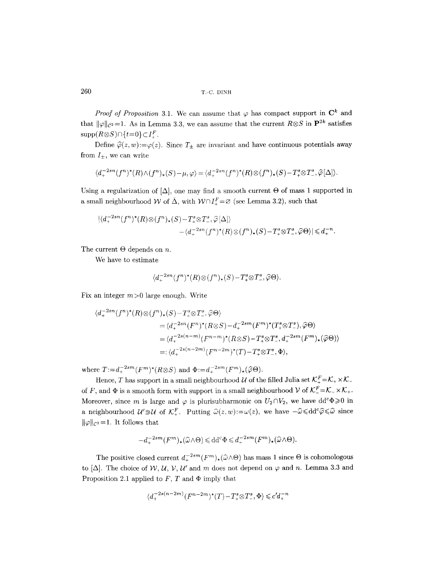# 260 T,-C. DINH

*Proof of Proposition 3.1.* We can assume that  $\varphi$  has compact support in  $\mathbb{C}^k$  and that  $\|\varphi\|_{\mathcal{C}^2} = 1$ . As in Lemma 3.3, we can assume that the current  $R \otimes S$  in  $\mathbf{P}^{2k}$  satisfies  $\text{supp}(R \otimes S) \cap \{t=0\} \subset I_+^F$ .

Define  $\hat{\varphi}(z, w) := \varphi(z)$ . Since  $T_{\pm}$  are invariant and have continuous potentials away from  $I_{\pm}$ , we can write

$$
\langle d_+^{-2sn}(f^n)^*(R)\wedge (f^n)_*(S)-\mu,\varphi\rangle=\langle d_+^{-2sn}(f^n)^*(R)\otimes (f^n)_*(S)-T^s_+\otimes T^s_-, \widehat{\varphi}[\Delta]\rangle.
$$

Using a regularization of  $[\Delta]$ , one may find a smooth current  $\Theta$  of mass 1 supported in a small neighbourhood W of  $\bar{\Delta}$ , with  $W \cap I^F_+ = \varnothing$  (see Lemma 3.2), such that

$$
\begin{aligned} &|\langle d_+^{-2sn}(f^n)^*(R)\otimes (f^n)_*(S)-T^s_+\otimes T^s_-, \widehat{\varphi}[\Delta]\rangle\\ &-\langle d_+^{-2sn}(f^n)^*(R)\otimes (f^n)_*(S)-T^s_+\otimes T^s_-, \widehat{\varphi}\Theta\rangle|\leqslant d_+^{-n}.\end{aligned}
$$

The current  $\Theta$  depends on n.

We have to estimate

$$
\langle d_+^{-2sn}(f^n)^*(R)\otimes (f^n)_*(S)-T^s_+\otimes T^s_-, \widehat{\varphi}\Theta\rangle.
$$

Fix an integer  $m > 0$  large enough. Write

$$
\langle d_+^{-2sn}(f^n)^*(R) \otimes (f^n)_*(S) - T^s_* \otimes T^s_* \tilde{\varphi} \Theta \rangle
$$
  
=  $\langle d_+^{-2sn}(F^n)^*(R \otimes S) - d_+^{-2sm}(F^m)^*(T^s_* \otimes T^s_*) , \hat{\varphi} \Theta \rangle$   
=  $\langle d_+^{-2s(n-m)}(F^{n-m})^*(R \otimes S) - T^s_* \otimes T^s_* , d_+^{-2sm}(F^m)_*(\hat{\varphi} \Theta) \rangle$   
=:  $\langle d_+^{-2s(n-2m)}(F^{n-2m})^*(T) - T^s_* \otimes T^s_* , \Phi \rangle$ ,

where  $T:=d_{+}^{-2sm}(F^{m})^*(R\otimes S)$  and  $\Phi:=d_{+}^{-2sm}(F^{m})_*(\widehat{\varphi}\Theta).$ 

Hence, T has support in a small neighbourhood U of the filled Julia set  $\mathcal{K}_+^F=\mathcal{K}_+\times\mathcal{K}_$ of F, and  $\Phi$  is a smooth form with support in a small neighbourhood V of  $\mathcal{K}^F_- = \mathcal{K}_- \times \mathcal{K}_+$ . Moreover, since m is large and  $\varphi$  is plurisubharmonic on  $U_2 \cap V_2$ , we have  $dd^c \Phi \geq 0$  in a neighbourhood  $\mathcal{U}' \ni \mathcal{U}$  of  $\mathcal{K}^F_+$ . Putting  $\widehat{\omega}(z,w) := \omega(z)$ , we have  $-\widehat{\omega} \leq d d^c \widehat{\varphi} \leq \widehat{\omega}$  since  $\|\varphi\|_{\mathcal{C}^2}=1$ . It follows that

$$
-d_+^{-2sm}(F^m)_*(\widehat{\omega}\wedge \Theta) \leqslant dd^c\Phi \leqslant d_+^{-2sm}(F^m)_*(\widehat{\omega}\wedge \Theta).
$$

The positive closed current  $d_+^{-2sm}(F^m)_*(\widehat{\omega}\wedge\Theta)$  has mass 1 since  $\Theta$  is cohomologous to  $[\Delta]$ . The choice of W, U, V, U' and m does not depend on  $\varphi$  and n. Lemma 3.3 and Proposition 2.1 applied to  $F$ ,  $T$  and  $\Phi$  imply that

$$
\langle d_+^{-2s(n-2m)}(F^{n-2m})^*(T)-T_+^s\otimes T_-^s,\Phi\rangle\leqslant c'd_+^{-n}
$$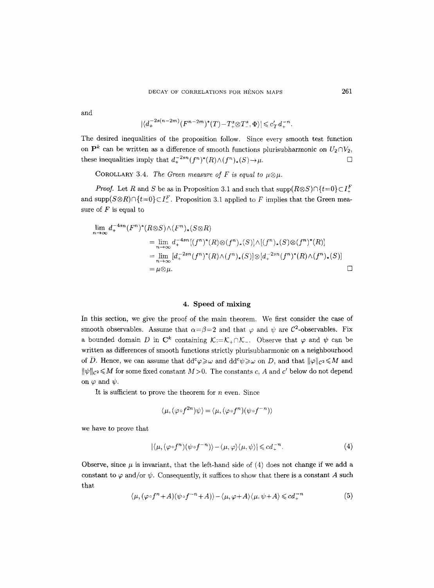and

$$
|\langle d_+^{-2s(n-2m)}(F^{n-2m})^*(T)-T_+^s\otimes T_-^s,\Phi\rangle|\leqslant c_T'd_+^{-n}.
$$

The desired inequalities of the proposition follow. Since every smooth test function on  $\mathbf{P}^k$  can be written as a difference of smooth functions plurisubharmonic on  $U_2 \cap V_2$ , these inequalities imply that  $d_+^{-2sn} (f^n)^*(R) \wedge (f^n)_*(S) \rightarrow \mu$ .

COROLLARY 3.4. *The Green measure of F is equal to*  $\mu \otimes \mu$ *.* 

*Proof.* Let R and S be as in Proposition 3.1 and such that  $\text{supp}(R \otimes S) \cap \{t=0\} \subset I_{+}^{F}$ and  $\text{supp}(S\otimes R)\cap \{t=0\}\subset I^F$ . Proposition 3.1 applied to F implies that the Green measure of  $F$  is equal to

$$
\lim_{n \to \infty} d_+^{-4sn} (F^n)^*(R \otimes S) \wedge (F^n)_*(S \otimes R)
$$
\n
$$
= \lim_{n \to \infty} d_+^{-4sn} [(f^n)^*(R) \otimes (f^n)_*(S)] \wedge [(f^n)_*(S) \otimes (f^n)^*(R)]
$$
\n
$$
= \lim_{n \to \infty} [d_+^{-2sn} (f^n)^*(R) \wedge (f^n)_*(S)] \otimes [d_+^{-2sn} (f^n)^*(R) \wedge (f^n)_*(S)]
$$
\n
$$
= \mu \otimes \mu.
$$

#### **4. Speed of mixing**

In this section, we give the proof of the main theorem. We first consider the case of smooth observables. Assume that  $\alpha = \beta = 2$  and that  $\varphi$  and  $\psi$  are C<sup>2</sup>-observables. Fix a bounded domain D in  $\mathbb{C}^k$  containing  $\mathcal{K}:={\mathcal{K}}_+\cap{\mathcal{K}}_+$ . Observe that  $\varphi$  and  $\psi$  can be written as differences of smooth functions strictly plurisubharmonic on a neighbourhood of  $\overline{D}$ . Hence, we can assume that  $dd^c \varphi \geq \omega$  and  $dd^c \psi \geq \omega$  on D, and that  $\|\varphi\|_{\mathcal{C}^2} \leq M$  and  $\|\psi\|_{\mathcal{C}^2} \leqslant M$  for some fixed constant  $M>0$ . The constants c, A and c' below do not depend on  $\varphi$  and  $\psi$ .

It is sufficient to prove the theorem for  $n$  even. Since

$$
\langle \mu, (\varphi \circ f^{2n}) \psi \rangle = \langle \mu, (\varphi \circ f^{n}) (\psi \circ f^{-n}) \rangle
$$

we have to prove that

$$
|\langle \mu, (\varphi \circ f^n)(\psi \circ f^{-n}) \rangle - \langle \mu, \varphi \rangle \langle \mu, \psi \rangle| \leqslant c d_+^{-n}.
$$
 (4)

Observe, since  $\mu$  is invariant, that the left-hand side of (4) does not change if we add a constant to  $\varphi$  and/or  $\psi$ . Consequently, it suffices to show that there is a constant A such that

$$
\langle \mu, (\varphi \circ f^{n} + A)(\psi \circ f^{-n} + A) \rangle - \langle \mu, \varphi + A \rangle \langle \mu, \psi + A \rangle \leq c d_{+}^{-n}
$$
 (5)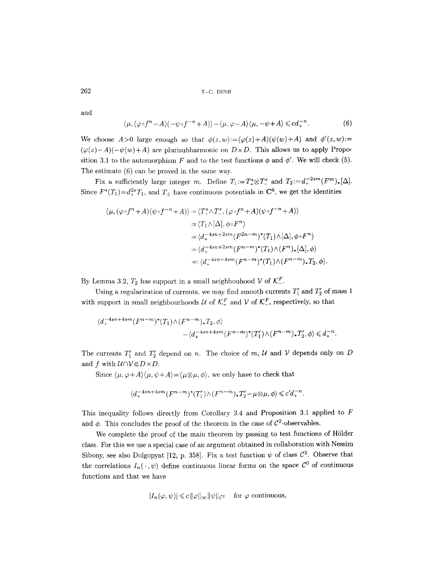and

$$
\langle \mu, (\varphi \circ f^{n} - A)(-\psi \circ f^{-n} + A) \rangle - \langle \mu, \varphi - A \rangle \langle \mu, -\psi + A \rangle \leq c d_{+}^{-n}.
$$
 (6)

We choose  $A>0$  large enough so that  $\phi(z,w) := (\varphi(z)+A)(\psi(w)+A)$  and  $\phi'(z,w) :=$  $(\varphi(z)-A)(-\psi(w)+A)$  are plurisubharmonic on  $D \times D$ . This allows us to apply Proposition 3.1 to the automorphism F and to the test functions  $\phi$  and  $\phi'$ . We will check (5). The estimate (6) can be proved in the same way.

Fix a sufficiently large integer m. Define  $T_1:=T^s_*\otimes T^s_*$  and  $T_2:=d_+^{-2sm}(F^m)_*[\Delta]$ . Since  $F^*(T_1)=d_+^{2s}T_1$ , and  $T_{\pm}$  have continuous potentials in  $\mathbb{C}^k$ , we get the identities

$$
\langle \mu, (\varphi \circ f^{n} + A)(\psi \circ f^{-n} + A) \rangle = \langle T_{+}^{s} \wedge T_{-}^{s}, (\varphi \circ f^{n} + A)(\psi \circ f^{-n} + A) \rangle
$$
  
\n
$$
= \langle T_{1} \wedge [\Delta], \phi \circ F^{n} \rangle
$$
  
\n
$$
= \langle d_{+}^{-4sn + 2sm} (F^{2n-m})^*(T_{1}) \wedge [\Delta], \phi \circ F^{n} \rangle
$$
  
\n
$$
= \langle d_{+}^{-4sn + 2sm} (F^{n-m})^*(T_{1}) \wedge (F^{n})_* [\Delta], \phi \rangle
$$
  
\n
$$
= \langle d_{+}^{-4sn + 4sm} (F^{n-m})^*(T_{1}) \wedge (F^{n-m})_* T_2, \phi \rangle.
$$

By Lemma 3.2,  $T_2$  has support in a small neighbouhood  $V$  of  $\mathcal{K}^F$ .

Using a regularization of currents, we may find smooth currents  $T'_1$  and  $T'_2$  of mass 1 with support in small neighbourhoods  $U$  of  $\mathcal{K}^F_+$  and  $V$  of  $\mathcal{K}^F_-$ , respectively, so that

$$
\langle d_+^{-4sn+4sm}(F^{n-m})^*(T_1) \wedge (F^{n-m})^*T_2, \phi \rangle
$$
  
 
$$
-\langle d_+^{-4sn+4sm}(F^{n-m})^*(T_1') \wedge (F^{n-m})^*T_2', \phi \rangle \leq d_+^{-n}.
$$

The currents  $T'_1$  and  $T'_2$  depend on n. The choice of m, U and V depends only on D and  $f$  with  $\mathcal{U} \cap \mathcal{V} \subseteq D \times D$ .

Since  $\langle \mu, \varphi + A \rangle \langle \mu, \psi + A \rangle = \langle \mu \otimes \mu, \phi \rangle$ , we only have to check that

$$
\langle d_+^{-4sn+4sm}(F^{n-m})^*(T_1')\wedge (F^{n-m})_*T_2'-\mu\otimes\mu,\phi\rangle\leqslant c'd_+^{-n}.
$$

This inequality follows directly from Corollary 3.4 and Proposition 3.1 applied to F and  $\phi$ . This concludes the proof of the theorem in the case of  $C^2$ -observables.

We complete the proof of the main theorem by passing to test functions of Hölder class. For this we use a special case of an argument obtained in collaboration with Nessim Sibony, see also Dolgopyat [12, p. 358]. Fix a test function  $\psi$  of class  $\mathcal{C}^2$ . Observe that the correlations  $I_n(\cdot, \psi)$  define continuous linear forms on the space  $\mathcal{C}^0$  of continuous functions and that we have

$$
|I_n(\varphi, \psi)| \leq c \|\varphi\|_{\infty} \|\psi\|_{\mathcal{C}^2} \quad \text{ for } \varphi \text{ continuous},
$$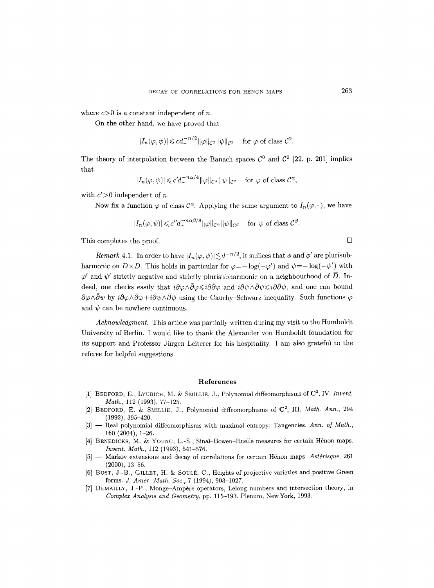where  $c>0$  is a constant independent of n.

On the other hand, we have proved that

$$
|I_n(\varphi,\psi)| \leq c d_+^{-n/2} \|\varphi\|_{\mathcal{C}^2} \|\psi\|_{\mathcal{C}^2} \quad \text{for } \varphi \text{ of class } \mathcal{C}^2.
$$

The theory of interpolation between the Banach spaces  $\mathcal{C}^0$  and  $\mathcal{C}^2$  [22, p. 201] implies that

$$
|I_n(\varphi, \psi)| \leq c' d_+^{-n\alpha/4} \|\varphi\|_{\mathcal{C}^\alpha} \|\psi\|_{\mathcal{C}^2} \quad \text{for } \varphi \text{ of class } \mathcal{C}^\alpha,
$$

with  $c' > 0$  independent of n.

Now fix a function  $\varphi$  of class  $C^{\alpha}$ . Applying the same argument to  $I_n(\varphi, \cdot)$ , we have

$$
|I_n(\varphi, \psi)| \leq c'' d_+^{-n\alpha\beta/8} \|\varphi\|_{\mathcal{C}^{\alpha}} \|\psi\|_{\mathcal{C}^{\beta}} \quad \text{for } \psi \text{ of class } \mathcal{C}^{\beta}.
$$

This completes the proof.  $\Box$ 

*Remark* 4.1. In order to have  $|I_n(\varphi, \psi)| \lesssim d^{-n/2}$ , it suffices that  $\phi$  and  $\phi'$  are plurisubharmonic on  $D \times D$ . This holds in particular for  $\varphi = -\log(-\varphi')$  and  $\psi = -\log(-\psi')$  with  $\varphi'$  and  $\psi'$  strictly negative and strictly plurisubharmonic on a neighbourhood of  $\overline{D}$ . Indeed, one checks easily that  $i\partial\varphi\wedge\bar{\partial}\varphi\leq i\partial\bar{\partial}\varphi$  and  $i\partial\psi\wedge\bar{\partial}\psi\leq i\partial\bar{\partial}\psi$ , and one can bound  $\partial \varphi \wedge \bar{\partial} \psi$  by  $i\partial \varphi \wedge \bar{\partial} \varphi + i\partial \psi \wedge \bar{\partial} \psi$  using the Cauchy-Schwarz inequality. Such functions  $\varphi$ and  $\psi$  can be nowhere continuous.

*Acknowledgment.* This article was partially written during my visit to the Humboldt University of Berlin. I would like to thank the Alexander von Humboldt foundation for its support and Professor Jiirgen Leiterer for his hospitality. I am also grateful to the referee for helpful suggestions.

#### **References**

- [1] BEDFORD, E., LYUBICH, M. & SMILLIE, J., Polynomial diffeomorphisms of  $\mathbb{C}^2$ , IV. *Invent. Math., 112 (1993), 77-125.*
- [2] BEDFORD, E. & SMILLIE, J., Polynomial diffeomorphisms of  $C^2$ , III. *Math. Ann.*, 294 (1992), 395-420.
- [3] -- Real polynomial diffeomorphisms with maximal entropy: Tangencies. Ann. of Math., 160 (2004), 1-26.
- [4] BENEDICKS, M. & YOUNG, L.-S., Sinaĭ-Bowen-Ruelle measures for certain Hénon maps. *Invent. Math.,* 112 (1993), 541-576.
- [5] -- Markov extensions and decay of correlations for certain Hénon maps. Astérisque, 261  $(2000), 13 - 56.$
- [6] BOST, J.-B., GILLET, H. & SOULÉ, C., Heights of projective varieties and positive Green forms. *J. Amer. Math. Soc.,* 7 (1994), 903-1027.
- [7] DEMAILLY, J.-P., Monge-Ampère operators, Lelong numbers and intersection theory, in *Complex Analysis and Geometry,* pp. 115-193. Plenum, NewYork, 1993.